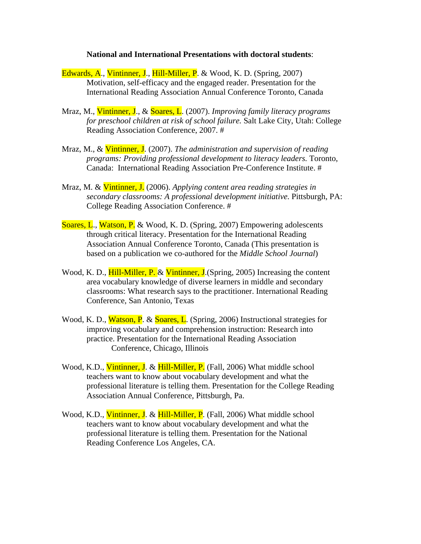## **National and International Presentations with doctoral students**:

- Edwards, A., Vintinner, J., Hill-Miller, P. & Wood, K. D. (Spring, 2007) Motivation, self-efficacy and the engaged reader. Presentation for the International Reading Association Annual Conference Toronto, Canada
- Mraz, M., Vintinner, J., & Soares, L. (2007). *Improving family literacy programs for preschool children at risk of school failure.* Salt Lake City, Utah: College Reading Association Conference, 2007. #
- Mraz, M., & Vintinner, J. (2007). *The administration and supervision of reading programs: Providing professional development to literacy leaders.* Toronto, Canada: International Reading Association Pre-Conference Institute. #
- Mraz, M. & Vintinner, J. (2006). *Applying content area reading strategies in secondary classrooms: A professional development initiative.* Pittsburgh, PA: College Reading Association Conference. #
- Soares, L., Watson, P. & Wood, K. D. (Spring, 2007) Empowering adolescents through critical literacy. Presentation for the International Reading Association Annual Conference Toronto, Canada (This presentation is based on a publication we co-authored for the *Middle School Journal*)
- Wood, K. D., **Hill-Miller, P. & Vintinner, J.** (Spring, 2005) Increasing the content area vocabulary knowledge of diverse learners in middle and secondary classrooms: What research says to the practitioner. International Reading Conference, San Antonio, Texas
- Wood, K. D., Watson, P. & Soares, L. (Spring, 2006) Instructional strategies for improving vocabulary and comprehension instruction: Research into practice. Presentation for the International Reading Association Conference, Chicago, Illinois
- Wood, K.D., Vintinner, J. & Hill-Miller, P. (Fall, 2006) What middle school teachers want to know about vocabulary development and what the professional literature is telling them. Presentation for the College Reading Association Annual Conference, Pittsburgh, Pa.
- Wood, K.D., Vintinner, J. & Hill-Miller, P. (Fall, 2006) What middle school teachers want to know about vocabulary development and what the professional literature is telling them. Presentation for the National Reading Conference Los Angeles, CA.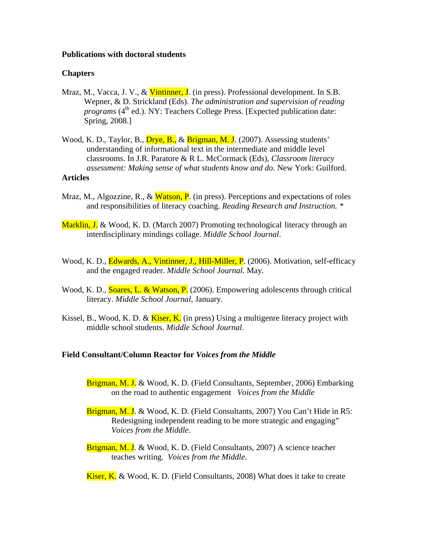## **Publications with doctoral students**

## **Chapters**

- Mraz, M., Vacca, J. V., & Vintinner, J. (in press). Professional development. In S.B. Wepner, & D. Strickland (Eds). *The administration and supervision of reading programs* (4<sup>th</sup> ed.). NY: Teachers College Press. [Expected publication date: Spring, 2008.]
- Wood, K. D., Taylor, B., Drye, B., & Brigman, M. J. (2007). Assessing students' understanding of informational text in the intermediate and middle level classrooms. In J.R. Paratore & R L. McCormack (Eds), *Classroom literacy assessment: Making sense of what students know and do.* New York: Guilford. **Articles**
- Mraz, M., Algozzine, R., & Watson, P. (in press). Perceptions and expectations of roles and responsibilities of literacy coaching. *Reading Research and Instruction. \**
- Marklin, J. & Wood, K. D. (March 2007) Promoting technological literacy through an interdisciplinary mindings collage. *Middle School Journal*.
- Wood, K. D., Edwards, A., Vintinner, J., Hill-Miller, P. (2006). Motivation, self-efficacy and the engaged reader. *Middle School Journal.* May.
- Wood, K. D., Soares, L. & Watson, P. (2006). Empowering adolescents through critical literacy. *Middle School Journal*, January*.*
- Kissel, B., Wood, K. D. &  $\overline{\text{Kiser}, \text{K}}$  (in press) Using a multigenre literacy project with middle school students. *Middle School Journal*.

## **Field Consultant/Column Reactor for** *Voices from the Middle*

- Brigman, M. J. & Wood, K. D. (Field Consultants, September, 2006) Embarking on the road to authentic engagement *Voices from the Middle*
- Brigman, M. J. & Wood, K. D. (Field Consultants, 2007) You Can't Hide in R5: Redesigning independent reading to be more strategic and engaging" *Voices from the Middle*.
- Brigman, M. J. & Wood, K. D. (Field Consultants, 2007) A science teacher teaches writing. *Voices from the Middle*.
- Kiser, K. & Wood, K. D. (Field Consultants, 2008) What does it take to create